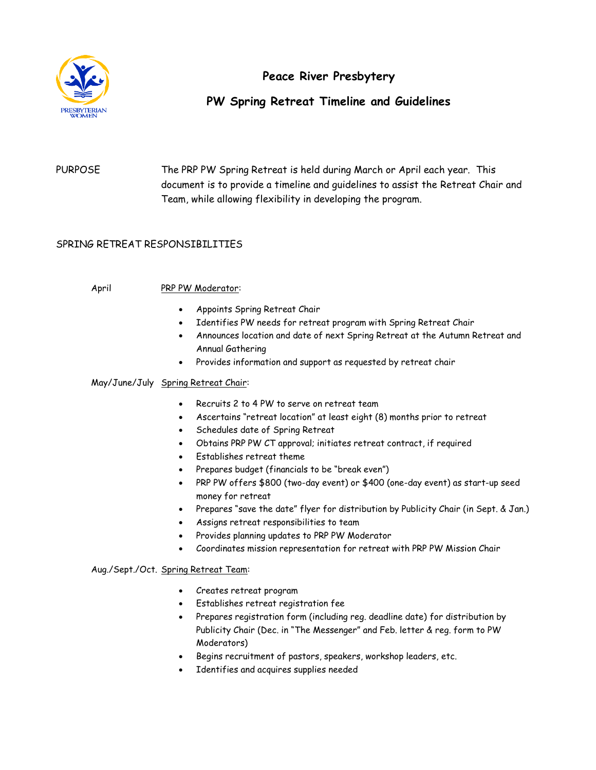

# **Peace River Presbytery**

# **PW Spring Retreat Timeline and Guidelines**

PURPOSE The PRP PW Spring Retreat is held during March or April each year. This document is to provide a timeline and guidelines to assist the Retreat Chair and Team, while allowing flexibility in developing the program.

## SPRING RETREAT RESPONSIBILITIES

### April PRP PW Moderator:

- Appoints Spring Retreat Chair
- Identifies PW needs for retreat program with Spring Retreat Chair
- Announces location and date of next Spring Retreat at the Autumn Retreat and Annual Gathering
- Provides information and support as requested by retreat chair

### May/June/July Spring Retreat Chair:

- Recruits 2 to 4 PW to serve on retreat team
- Ascertains "retreat location" at least eight (8) months prior to retreat
- Schedules date of Spring Retreat
- Obtains PRP PW CT approval; initiates retreat contract, if required
- Establishes retreat theme
- Prepares budget (financials to be "break even")
- PRP PW offers \$800 (two-day event) or \$400 (one-day event) as start-up seed money for retreat
- Prepares "save the date" flyer for distribution by Publicity Chair (in Sept. & Jan.)
- Assigns retreat responsibilities to team
- Provides planning updates to PRP PW Moderator
- Coordinates mission representation for retreat with PRP PW Mission Chair

#### Aug./Sept./Oct. Spring Retreat Team:

- Creates retreat program
- Establishes retreat registration fee
- Prepares registration form (including reg. deadline date) for distribution by Publicity Chair (Dec. in "The Messenger" and Feb. letter & reg. form to PW Moderators)
- Begins recruitment of pastors, speakers, workshop leaders, etc.
- Identifies and acquires supplies needed